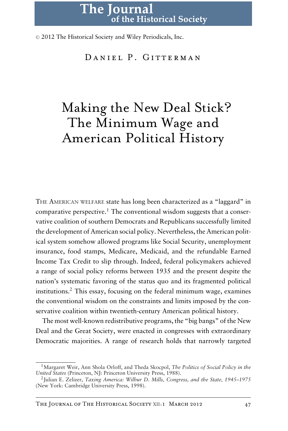# **The Journal** of the Historical Society

-<sup>C</sup> 2012 The Historical Society and Wiley Periodicals, Inc.

# DANIEL P. GITTERMAN

# Making the New Deal Stick? The Minimum Wage and American Political History

THE AMERICAN WELFARE state has long been characterized as a "laggard" in comparative perspective.<sup>1</sup> The conventional wisdom suggests that a conservative coalition of southern Democrats and Republicans successfully limited the development of American social policy. Nevertheless, the American political system somehow allowed programs like Social Security, unemployment insurance, food stamps, Medicare, Medicaid, and the refundable Earned Income Tax Credit to slip through. Indeed, federal policymakers achieved a range of social policy reforms between 1935 and the present despite the nation's systematic favoring of the status quo and its fragmented political institutions.2 This essay, focusing on the federal minimum wage, examines the conventional wisdom on the constraints and limits imposed by the conservative coalition within twentieth-century American political history.

The most well-known redistributive programs, the "big bangs" of the New Deal and the Great Society, were enacted in congresses with extraordinary Democratic majorities. A range of research holds that narrowly targeted

<sup>1</sup>Margaret Weir, Ann Shola Orloff, and Theda Skocpol, *The Politics of Social Policy in the United States* (Princeton, NJ: Princeton University Press, 1988).

<sup>2</sup>Julian E. Zelizer, *Taxing America: Wilbur D. Mills, Congress, and the State, 1945–1975* (New York: Cambridge University Press, 1998).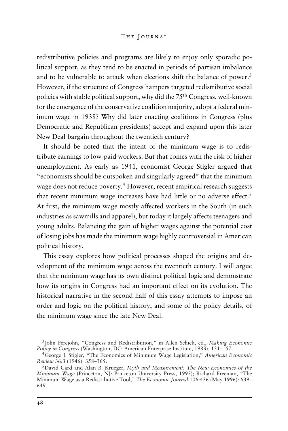redistributive policies and programs are likely to enjoy only sporadic political support, as they tend to be enacted in periods of partisan imbalance and to be vulnerable to attack when elections shift the balance of power.<sup>3</sup> However, if the structure of Congress hampers targeted redistributive social policies with stable political support, why did the 75th Congress, well-known for the emergence of the conservative coalition majority, adopt a federal minimum wage in 1938? Why did later enacting coalitions in Congress (plus Democratic and Republican presidents) accept and expand upon this later New Deal bargain throughout the twentieth century?

It should be noted that the intent of the minimum wage is to redistribute earnings to low-paid workers. But that comes with the risk of higher unemployment. As early as 1941, economist George Stigler argued that "economists should be outspoken and singularly agreed" that the minimum wage does not reduce poverty.<sup>4</sup> However, recent empirical research suggests that recent minimum wage increases have had little or no adverse effect.<sup>5</sup> At first, the minimum wage mostly affected workers in the South (in such industries as sawmills and apparel), but today it largely affects teenagers and young adults. Balancing the gain of higher wages against the potential cost of losing jobs has made the minimum wage highly controversial in American political history.

This essay explores how political processes shaped the origins and development of the minimum wage across the twentieth century. I will argue that the minimum wage has its own distinct political logic and demonstrate how its origins in Congress had an important effect on its evolution. The historical narrative in the second half of this essay attempts to impose an order and logic on the political history, and some of the policy details, of the minimum wage since the late New Deal.

<sup>3</sup>John Ferejohn, "Congress and Redistribution," in Allen Schick, ed., *Making Economic Policy in Congress* (Washington, DC: American Enterprise Institute, 1983), 131–157.

<sup>4</sup>George J. Stigler, "The Economics of Minimum Wage Legislation," *American Economic Review* 36:3 (1946): 358–365.

<sup>5</sup>David Card and Alan B. Krueger, *Myth and Measurement: The New Economics of the Minimum Wage* (Princeton, NJ: Princeton University Press, 1995); Richard Freeman, "The Minimum Wage as a Redistributive Tool," *The Economic Journal* 106:436 (May 1996): 639– 649.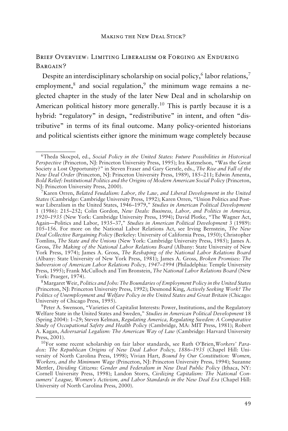Brief Overview: Limiting Liberalism or Forging an Enduring Bargain?

Despite an interdisciplinary scholarship on social policy,<sup>6</sup> labor relations,<sup>7</sup> employment, $\delta$  and social regulation, $\delta$  the minimum wage remains a neglected chapter in the study of the later New Deal and in scholarship on American political history more generally.<sup>10</sup> This is partly because it is a hybrid: "regulatory" in design, "redistributive" in intent, and often "distributive" in terms of its final outcome. Many policy-oriented historians and political scientists either ignore the minimum wage completely because

<sup>6</sup>Theda Skocpol, ed., *Social Policy in the United States: Future Possibilities in Historical Perspective* (Princeton, NJ: Princeton University Press, 1995); Ira Katznelson, "Was the Great Society a Lost Opportunity?" in Steven Fraser and Gary Gerstle, eds., *The Rise and Fall of the New Deal Order* (Princeton, NJ: Princeton University Press, 1989), 185–211; Edwin Amenta, *Bold Relief: Institutional Politics and the Origins of Modern American Social Policy* (Princeton, NJ: Princeton University Press, 2000).

<sup>7</sup>Karen Orren, *Belated Feudalism: Labor, the Law, and Liberal Development in the United States* (Cambridge: Cambridge University Press, 1992); Karen Orren, "Union Politics and Postwar Liberalism in the United States, 1946–1979," *Studies in American Political Development* 1 (1986): 215–252; Colin Gordon, *New Deals: Business, Labor, and Politics in America, 1920–1935* (New York: Cambridge University Press, 1994); David Plotke, "The Wagner Act, Again—Politics and Labor, 1935–37," *Studies in American Political Development* 3 (1989): 105–156. For more on the National Labor Relations Act, see Irving Bernstein, *The New Deal Collective Bargaining Policy* (Berkeley: University of California Press, 1950); Christopher Tomlins, *The State and the Unions* (New York: Cambridge University Press, 1985); James A. Gross, *The Making of the National Labor Relations Board* (Albany: State University of New York Press, 1974); James A. Gross, *The Reshaping of the National Labor Relations Board* (Albany: State University of New York Press, 1981); James A. Gross, *Broken Promises: The Subversion of American Labor Relations Policy, 1947–1994* (Philadelphia: Temple University Press, 1995); Frank McCulloch and Tim Bronstein, *The National Labor Relations Board* (New York: Praeger, 1974).

<sup>8</sup>Margaret Weir, *Politics and Jobs: The Boundaries of Employment Policy in the United States* (Princeton, NJ: Princeton University Press, 1992); Desmond King, *Actively Seeking Work? The Politics of Unemployment and Welfare Policy in the United States and Great Britain* (Chicago: University of Chicago Press, 1995).

<sup>&</sup>lt;sup>9</sup>Peter A. Swenson, "Varieties of Capitalist Interests: Power, Institutions, and the Regulatory Welfare State in the United States and Sweden," *Studies in American Political Development* 18 (Spring 2004): 1–29; Steven Kelman, *Regulating America, Regulating Sweden: A Comparative Study of Occupational Safety and Health Policy* (Cambridge, MA: MIT Press, 1981); Robert A. Kagan, *Adversarial Legalism: The American Way of Law* (Cambridge: Harvard University Press, 2001).

<sup>10</sup>For some recent scholarship on fair labor standards, see Ruth O'Brien,*Workers' Paradox: The Republican Origins of New Deal Labor Policy, 1886–1935* (Chapel Hill: University of North Carolina Press, 1998); Vivian Hart, *Bound by Our Constitution: Women, Workers, and the Minimum Wage* (Princeton, NJ: Princeton University Press, 1994); Suzanne Mettler, *Dividing Citizens: Gender and Federalism in New Deal Public Policy* (Ithaca, NY: Cornell University Press, 1998); Landon Storrs, *Civilizing Capitalism: The National Consumers' League, Women's Activism, and Labor Standards in the New Deal Era* (Chapel Hill: University of North Carolina Press, 2000).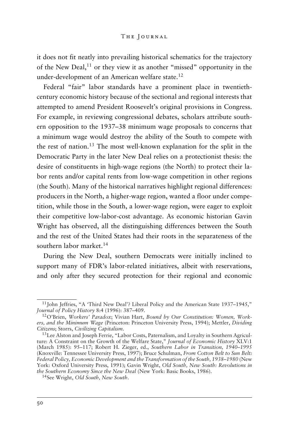it does not fit neatly into prevailing historical schematics for the trajectory of the New Deal, $^{11}$  or they view it as another "missed" opportunity in the under-development of an American welfare state.<sup>12</sup>

Federal "fair" labor standards have a prominent place in twentiethcentury economic history because of the sectional and regional interests that attempted to amend President Roosevelt's original provisions in Congress. For example, in reviewing congressional debates, scholars attribute southern opposition to the 1937–38 minimum wage proposals to concerns that a minimum wage would destroy the ability of the South to compete with the rest of nation.13 The most well-known explanation for the split in the Democratic Party in the later New Deal relies on a protectionist thesis: the desire of constituents in high-wage regions (the North) to protect their labor rents and/or capital rents from low-wage competition in other regions (the South). Many of the historical narratives highlight regional differences: producers in the North, a higher-wage region, wanted a floor under competition, while those in the South, a lower-wage region, were eager to exploit their competitive low-labor-cost advantage. As economic historian Gavin Wright has observed, all the distinguishing differences between the South and the rest of the United States had their roots in the separateness of the southern labor market.<sup>14</sup>

During the New Deal, southern Democrats were initially inclined to support many of FDR's labor-related initiatives, albeit with reservations, and only after they secured protection for their regional and economic

<sup>&</sup>lt;sup>11</sup> John Jeffries, "A 'Third New Deal'? Liberal Policy and the American State 1937-1945," *Journal of Policy History* 8:4 (1996): 387–409.

<sup>12</sup>O'Brien, *Workers' Paradox*; Vivian Hart, *Bound by Our Constitution: Women, Workers, and the Minimum Wage* (Princeton: Princeton University Press, 1994); Mettler, *Dividing Citizens*; Storrs, *Civilizing Capitalism.*

<sup>&</sup>lt;sup>13</sup> Lee Alston and Joseph Ferrie, "Labor Costs, Paternalism, and Loyalty in Southern Agriculture: A Constraint on the Growth of the Welfare State," *Journal of Economic History* XLV:1 (March 1985): 95–117; Robert H. Zieger, ed., *Southern Labor in Transition, 1940–1995* (Knoxville: Tennessee University Press, 1997); Bruce Schulman, *From Cotton Belt to Sun Belt: Federal Policy, Economic Development and the Transformation of the South, 1938–1980* (New York: Oxford University Press, 1991); Gavin Wright, *Old South, New South: Revolutions in the Southern Economy Since the New Deal* (New York: Basic Books, 1986).

<sup>14</sup>See Wright, *Old South, New South*.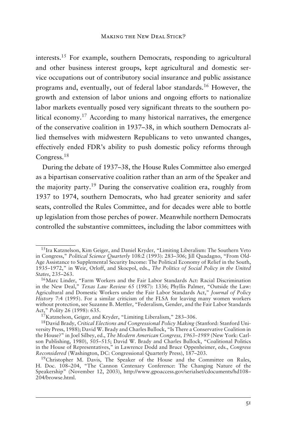interests.<sup>15</sup> For example, southern Democrats, responding to agricultural and other business interest groups, kept agricultural and domestic service occupations out of contributory social insurance and public assistance programs and, eventually, out of federal labor standards.<sup>16</sup> However, the growth and extension of labor unions and ongoing efforts to nationalize labor markets eventually posed very significant threats to the southern political economy.<sup>17</sup> According to many historical narratives, the emergence of the conservative coalition in 1937–38, in which southern Democrats allied themselves with midwestern Republicans to veto unwanted changes, effectively ended FDR's ability to push domestic policy reforms through Congress.18

During the debate of 1937–38, the House Rules Committee also emerged as a bipartisan conservative coalition rather than an arm of the Speaker and the majority party.19 During the conservative coalition era, roughly from 1937 to 1974, southern Democrats, who had greater seniority and safer seats, controlled the Rules Committee, and for decades were able to bottle up legislation from those perches of power. Meanwhile northern Democrats controlled the substantive committees, including the labor committees with

<sup>15</sup>Ira Katznelson, Kim Geiger, and Daniel Kryder, "Limiting Liberalism: The Southern Veto in Congress," *Political Science Quarterly* 108:2 (1993): 283–306; Jill Quadagno, "From Old-Age Assistance to Supplemental Security Income: The Political Economy of Relief in the South, 1935–1972," in Weir, Orloff, and Skocpol, eds., *The Politics of Social Policy in the United States*, 235–263.

<sup>&</sup>lt;sup>16</sup>Marc Linder, "Farm Workers and the Fair Labor Standards Act: Racial Discrimination in the New Deal," *Texas Law Review* 65 (1987): 1336; Phyllis Palmer, "Outside the Law: Agricultural and Domestic Workers under the Fair Labor Standards Act," *Journal of Policy History* 7:4 (1995). For a similar criticism of the FLSA for leaving many women workers without protection, see Suzanne B. Mettler, "Federalism, Gender, and the Fair Labor Standards Act," *Polity* 26 (1998): 635.

<sup>&</sup>lt;sup>17</sup>Katznelson, Geiger, and Kryder, "Limiting Liberalism," 283–306.

<sup>18</sup>David Brady, *Critical Elections and Congressional Policy Making* (Stanford: Stanford University Press, 1988); David W. Brady and Charles Bullock, "Is There a Conservative Coalition in the House?" in Joel Silbey, ed., *The Modern American Congress, 1963–1989* (New York: Carlson Publishing, 1980), 505–515; David W. Brady and Charles Bullock, "Coalitional Politics in the House of Representatives," in Lawrence Dodd and Bruce Oppenheimer, eds., *Congress Reconsidered* (Washington, DC: Congressional Quarterly Press), 187–203.

<sup>&</sup>lt;sup>19</sup>Christopher M. Davis, The Speaker of the House and the Committee on Rules, H. Doc. 108–204, "The Cannon Centenary Conference: The Changing Nature of the Speakership" (November 12, 2003), http://www.gpoaccess.gov/serialset/cdocuments/hd108– 204/browse.html.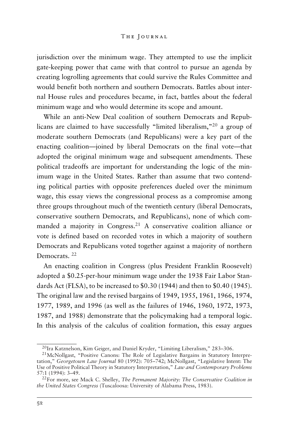#### THE JOURNAL

jurisdiction over the minimum wage. They attempted to use the implicit gate-keeping power that came with that control to pursue an agenda by creating logrolling agreements that could survive the Rules Committee and would benefit both northern and southern Democrats. Battles about internal House rules and procedures became, in fact, battles about the federal minimum wage and who would determine its scope and amount.

While an anti-New Deal coalition of southern Democrats and Republicans are claimed to have successfully "limited liberalism,"<sup>20</sup> a group of moderate southern Democrats (and Republicans) were a key part of the enacting coalition—joined by liberal Democrats on the final vote—that adopted the original minimum wage and subsequent amendments. These political tradeoffs are important for understanding the logic of the minimum wage in the United States. Rather than assume that two contending political parties with opposite preferences dueled over the minimum wage, this essay views the congressional process as a compromise among three groups throughout much of the twentieth century (liberal Democrats, conservative southern Democrats, and Republicans), none of which commanded a majority in Congress.<sup>21</sup> A conservative coalition alliance or vote is defined based on recorded votes in which a majority of southern Democrats and Republicans voted together against a majority of northern Democrats.<sup>22</sup>

An enacting coalition in Congress (plus President Franklin Roosevelt) adopted a \$0.25-per-hour minimum wage under the 1938 Fair Labor Standards Act (FLSA), to be increased to \$0.30 (1944) and then to \$0.40 (1945). The original law and the revised bargains of 1949, 1955, 1961, 1966, 1974, 1977, 1989, and 1996 (as well as the failures of 1946, 1960, 1972, 1973, 1987, and 1988) demonstrate that the policymaking had a temporal logic. In this analysis of the calculus of coalition formation, this essay argues

<sup>&</sup>lt;sup>20</sup>Ira Katznelson, Kim Geiger, and Daniel Kryder, "Limiting Liberalism," 283-306.

<sup>&</sup>lt;sup>21</sup>McNollgast, "Positive Canons: The Role of Legislative Bargains in Statutory Interpretation," *Georgetown Law Journal* 80 (1992): 705–742; McNollgast, "Legislative Intent: The Use of Positive Political Theory in Statutory Interpretation," *Law and Contemporary Problems* 57:1 (1994): 3–49.

<sup>22</sup>For more, see Mack C. Shelley, *The Permanent Majority: The Conservative Coalition in the United States Congress* (Tuscaloosa: University of Alabama Press, 1983).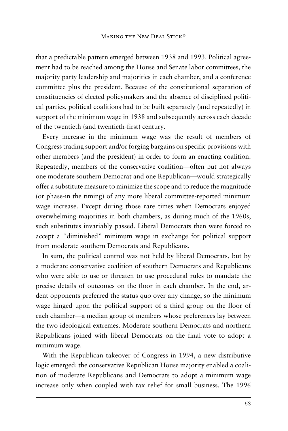that a predictable pattern emerged between 1938 and 1993. Political agreement had to be reached among the House and Senate labor committees, the majority party leadership and majorities in each chamber, and a conference committee plus the president. Because of the constitutional separation of constituencies of elected policymakers and the absence of disciplined political parties, political coalitions had to be built separately (and repeatedly) in support of the minimum wage in 1938 and subsequently across each decade of the twentieth (and twentieth-first) century.

Every increase in the minimum wage was the result of members of Congress trading support and/or forging bargains on specific provisions with other members (and the president) in order to form an enacting coalition. Repeatedly, members of the conservative coalition—often but not always one moderate southern Democrat and one Republican—would strategically offer a substitute measure to minimize the scope and to reduce the magnitude (or phase-in the timing) of any more liberal committee-reported minimum wage increase. Except during those rare times when Democrats enjoyed overwhelming majorities in both chambers, as during much of the 1960s, such substitutes invariably passed. Liberal Democrats then were forced to accept a "diminished" minimum wage in exchange for political support from moderate southern Democrats and Republicans.

In sum, the political control was not held by liberal Democrats, but by a moderate conservative coalition of southern Democrats and Republicans who were able to use or threaten to use procedural rules to mandate the precise details of outcomes on the floor in each chamber. In the end, ardent opponents preferred the status quo over any change, so the minimum wage hinged upon the political support of a third group on the floor of each chamber—a median group of members whose preferences lay between the two ideological extremes. Moderate southern Democrats and northern Republicans joined with liberal Democrats on the final vote to adopt a minimum wage.

With the Republican takeover of Congress in 1994, a new distributive logic emerged: the conservative Republican House majority enabled a coalition of moderate Republicans and Democrats to adopt a minimum wage increase only when coupled with tax relief for small business. The 1996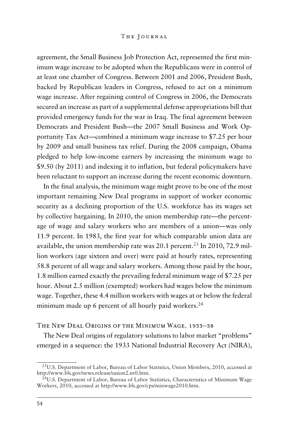#### THE JOURNAL

agreement, the Small Business Job Protection Act, represented the first minimum wage increase to be adopted when the Republicans were in control of at least one chamber of Congress. Between 2001 and 2006, President Bush, backed by Republican leaders in Congress, refused to act on a minimum wage increase. After regaining control of Congress in 2006, the Democrats secured an increase as part of a supplemental defense appropriations bill that provided emergency funds for the war in Iraq. The final agreement between Democrats and President Bush—the 2007 Small Business and Work Opportunity Tax Act—combined a minimum wage increase to \$7.25 per hour by 2009 and small business tax relief. During the 2008 campaign, Obama pledged to help low-income earners by increasing the minimum wage to \$9.50 (by 2011) and indexing it to inflation, but federal policymakers have been reluctant to support an increase during the recent economic downturn.

In the final analysis, the minimum wage might prove to be one of the most important remaining New Deal programs in support of worker economic security as a declining proportion of the U.S. workforce has its wages set by collective bargaining. In 2010, the union membership rate—the percentage of wage and salary workers who are members of a union—was only 11.9 percent. In 1983, the first year for which comparable union data are available, the union membership rate was 20.1 percent.<sup>23</sup> In 2010, 72.9 million workers (age sixteen and over) were paid at hourly rates, representing 58.8 percent of all wage and salary workers. Among those paid by the hour, 1.8 million earned exactly the prevailing federal minimum wage of \$7.25 per hour. About 2.5 million (exempted) workers had wages below the minimum wage. Together, these 4.4 million workers with wages at or below the federal minimum made up 6 percent of all hourly paid workers.<sup>24</sup>

#### The New Deal Origins of the Minimum Wage, 1933–38

The New Deal origins of regulatory solutions to labor market "problems" emerged in a sequence: the 1933 National Industrial Recovery Act (NIRA),

<sup>23</sup>U.S. Department of Labor, Bureau of Labor Statistics, Union Members, 2010, accessed at http://www.bls.gov/news.release/union2.nr0.htm.

<sup>24</sup>U.S. Department of Labor, Bureau of Labor Statistics, Characteristics of Minimum Wage Workers, 2010, accessed at http://www.bls.gov/cps/minwage2010.htm.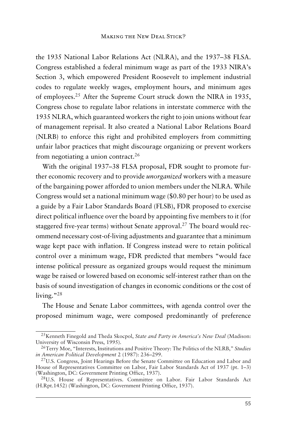the 1935 National Labor Relations Act (NLRA), and the 1937–38 FLSA. Congress established a federal minimum wage as part of the 1933 NIRA's Section 3, which empowered President Roosevelt to implement industrial codes to regulate weekly wages, employment hours, and minimum ages of employees.<sup>25</sup> After the Supreme Court struck down the NIRA in 1935, Congress chose to regulate labor relations in interstate commerce with the 1935 NLRA, which guaranteed workers the right to join unions without fear of management reprisal. It also created a National Labor Relations Board (NLRB) to enforce this right and prohibited employers from committing unfair labor practices that might discourage organizing or prevent workers from negotiating a union contract.<sup>26</sup>

With the original 1937–38 FLSA proposal, FDR sought to promote further economic recovery and to provide *unorganized* workers with a measure of the bargaining power afforded to union members under the NLRA. While Congress would set a national minimum wage (\$0.80 per hour) to be used as a guide by a Fair Labor Standards Board (FLSB), FDR proposed to exercise direct political influence over the board by appointing five members to it (for staggered five-year terms) without Senate approval.<sup>27</sup> The board would recommend necessary cost-of-living adjustments and guarantee that a minimum wage kept pace with inflation. If Congress instead were to retain political control over a minimum wage, FDR predicted that members "would face intense political pressure as organized groups would request the minimum wage be raised or lowered based on economic self-interest rather than on the basis of sound investigation of changes in economic conditions or the cost of living."<sup>28</sup>

The House and Senate Labor committees, with agenda control over the proposed minimum wage, were composed predominantly of preference

<sup>25</sup>Kenneth Finegold and Theda Skocpol, *State and Party in America's New Deal* (Madison: University of Wisconsin Press, 1995).

<sup>26</sup>Terry Moe, "Interests, Institutions and Positive Theory: The Politics of the NLRB," *Studies in American Political Development* 2 (1987): 236–299.

<sup>&</sup>lt;sup>27</sup>U.S. Congress, Joint Hearings Before the Senate Committee on Education and Labor and House of Representatives Committee on Labor, Fair Labor Standards Act of 1937 (pt. 1–3) (Washington, DC: Government Printing Office, 1937).

<sup>28</sup>U.S. House of Representatives. Committee on Labor. Fair Labor Standards Act (H.Rpt.1452) (Washington, DC: Government Printing Office, 1937).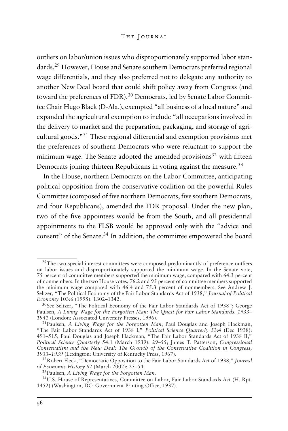#### THE JOURNAL

outliers on labor/union issues who disproportionately supported labor standards.<sup>29</sup> However, House and Senate southern Democrats preferred regional wage differentials, and they also preferred not to delegate any authority to another New Deal board that could shift policy away from Congress (and toward the preferences of FDR).<sup>30</sup> Democrats, led by Senate Labor Committee Chair Hugo Black (D-Ala.), exempted "all business of a local nature" and expanded the agricultural exemption to include "all occupations involved in the delivery to market and the preparation, packaging, and storage of agricultural goods."31 These regional differential and exemption provisions met the preferences of southern Democrats who were reluctant to support the minimum wage. The Senate adopted the amended provisions<sup>32</sup> with fifteen Democrats joining thirteen Republicans in voting against the measure.<sup>33</sup>

In the House, northern Democrats on the Labor Committee, anticipating political opposition from the conservative coalition on the powerful Rules Committee (composed of five northern Democrats, five southern Democrats, and four Republicans), amended the FDR proposal. Under the new plan, two of the five appointees would be from the South, and all presidential appointments to the FLSB would be approved only with the "advice and consent" of the Senate.<sup>34</sup> In addition, the committee empowered the board

<sup>&</sup>lt;sup>29</sup>The two special interest committees were composed predominantly of preference outliers on labor issues and disproportionately supported the minimum wage. In the Senate vote, 75 percent of committee members supported the minimum wage, compared with 64.3 percent of nonmembers. In the two House votes, 76.2 and 95 percent of committee members supported the minimum wage compared with 46.4 and 75.3 percent of nonmembers. See Andrew J. Seltzer, "The Political Economy of the Fair Labor Standards Act of 1938," *Journal of Political Economy* 103:6 (1995): 1302–1342.

<sup>30</sup>See Seltzer, "The Political Economy of the Fair Labor Standards Act of 1938"; George Paulsen, *A Living Wage for the Forgotten Man: The Quest for Fair Labor Standards, 1933– 1941* (London: Associated University Presses, 1996).

<sup>31</sup>Paulsen, *A Living Wage for the Forgotten Man*; Paul Douglas and Joseph Hackman, "The Fair Labor Standards Act of 1938 I," *Political Science Quarterly* 53:4 (Dec 1938): 491–515; Paul Douglas and Joseph Hackman, "The Fair Labor Standards Act of 1938 II," *Political Science Quarterly* 54:1 (March 1939): 29–55; James T. Patterson, *Congressional Conservatism and the New Deal: The Growth of the Conservative Coalition in Congress, 1933–1939* (Lexington: University of Kentucky Press, 1967).

<sup>32</sup>Robert Fleck, "Democratic Opposition to the Fair Labor Standards Act of 1938," *Journal of Economic History* 62 (March 2002): 25–54.

<sup>33</sup>Paulsen, *A Living Wage for the Forgotten Man.*

<sup>34</sup>U.S. House of Representatives, Committee on Labor, Fair Labor Standards Act (H. Rpt. 1452) (Washington, DC: Government Printing Office, 1937).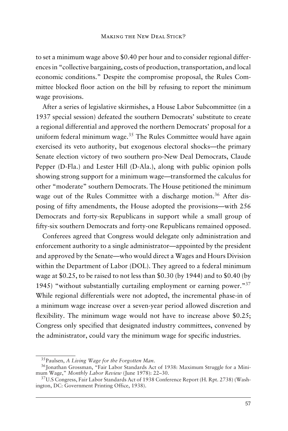to set a minimum wage above \$0.40 per hour and to consider regional differences in "collective bargaining, costs of production, transportation, and local economic conditions." Despite the compromise proposal, the Rules Committee blocked floor action on the bill by refusing to report the minimum wage provisions.

After a series of legislative skirmishes, a House Labor Subcommittee (in a 1937 special session) defeated the southern Democrats' substitute to create a regional differential and approved the northern Democrats' proposal for a uniform federal minimum wage. $35$  The Rules Committee would have again exercised its veto authority, but exogenous electoral shocks—the primary Senate election victory of two southern pro-New Deal Democrats, Claude Pepper (D-Fla.) and Lester Hill (D-Ala.), along with public opinion polls showing strong support for a minimum wage—transformed the calculus for other "moderate" southern Democrats. The House petitioned the minimum wage out of the Rules Committee with a discharge motion.<sup>36</sup> After disposing of fifty amendments, the House adopted the provisions—with 256 Democrats and forty-six Republicans in support while a small group of fifty-six southern Democrats and forty-one Republicans remained opposed.

Conferees agreed that Congress would delegate only administration and enforcement authority to a single administrator—appointed by the president and approved by the Senate—who would direct a Wages and Hours Division within the Department of Labor (DOL). They agreed to a federal minimum wage at \$0.25, to be raised to not less than \$0.30 (by 1944) and to \$0.40 (by 1945) "without substantially curtailing employment or earning power."37 While regional differentials were not adopted, the incremental phase-in of a minimum wage increase over a seven-year period allowed discretion and flexibility. The minimum wage would not have to increase above \$0.25; Congress only specified that designated industry committees, convened by the administrator, could vary the minimum wage for specific industries.

<sup>35</sup>Paulsen, *A Living Wage for the Forgotten Man*.

<sup>36</sup>Jonathan Grossman, "Fair Labor Standards Act of 1938: Maximum Struggle for a Minimum Wage," *Monthly Labor Review* (June 1978): 22–30.

<sup>37</sup>U.S Congress, Fair Labor Standards Act of 1938 Conference Report (H. Rpt. 2738) (Washington, DC: Government Printing Office, 1938).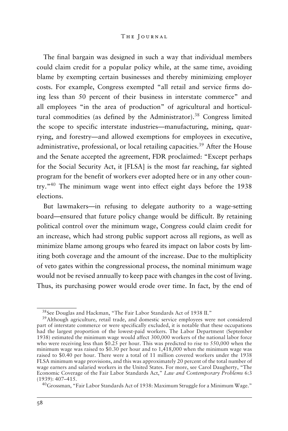#### THE JOURNAL

The final bargain was designed in such a way that individual members could claim credit for a popular policy while, at the same time, avoiding blame by exempting certain businesses and thereby minimizing employer costs. For example, Congress exempted "all retail and service firms doing less than 50 percent of their business in interstate commerce" and all employees "in the area of production" of agricultural and horticultural commodities (as defined by the Administrator).<sup>38</sup> Congress limited the scope to specific interstate industries—manufacturing, mining, quarrying, and forestry—and allowed exemptions for employees in executive, administrative, professional, or local retailing capacities.<sup>39</sup> After the House and the Senate accepted the agreement, FDR proclaimed: "Except perhaps for the Social Security Act, it [FLSA] is the most far reaching, far sighted program for the benefit of workers ever adopted here or in any other country."40 The minimum wage went into effect eight days before the 1938 elections.

But lawmakers—in refusing to delegate authority to a wage-setting board—ensured that future policy change would be difficult. By retaining political control over the minimum wage, Congress could claim credit for an increase, which had strong public support across all regions, as well as minimize blame among groups who feared its impact on labor costs by limiting both coverage and the amount of the increase. Due to the multiplicity of veto gates within the congressional process, the nominal minimum wage would not be revised annually to keep pace with changes in the cost of living. Thus, its purchasing power would erode over time. In fact, by the end of

<sup>38</sup>See Douglas and Hackman, "The Fair Labor Standards Act of 1938 II."

<sup>&</sup>lt;sup>39</sup>Although agriculture, retail trade, and domestic service employees were not considered part of interstate commerce or were specifically excluded, it is notable that these occupations had the largest proportion of the lowest-paid workers. The Labor Department (September 1938) estimated the minimum wage would affect 300,000 workers of the national labor force who were receiving less than \$0.25 per hour. This was predicted to rise to 550,000 when the minimum wage was raised to \$0.30 per hour and to 1,418,000 when the minimum wage was raised to \$0.40 per hour. There were a total of 11 million covered workers under the 1938 FLSA minimum wage provisions, and this was approximately 20 percent of the total number of wage earners and salaried workers in the United States. For more, see Carol Daugherty, "The Economic Coverage of the Fair Labor Standards Act," *Law and Contemporary Problems* 6:3 (1939): 407–415.

<sup>&</sup>lt;sup>40</sup> Grossman, "Fair Labor Standards Act of 1938: Maximum Struggle for a Minimum Wage."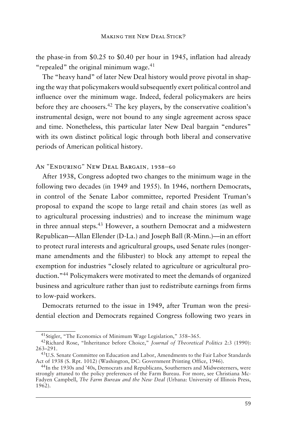the phase-in from \$0.25 to \$0.40 per hour in 1945, inflation had already "repealed" the original minimum wage.<sup>41</sup>

The "heavy hand" of later New Deal history would prove pivotal in shaping the way that policymakers would subsequently exert political control and influence over the minimum wage. Indeed, federal policymakers are heirs before they are choosers.<sup>42</sup> The key players, by the conservative coalition's instrumental design, were not bound to any single agreement across space and time. Nonetheless, this particular later New Deal bargain "endures" with its own distinct political logic through both liberal and conservative periods of American political history.

## An "Enduring" New Deal Bargain, 1938–60

After 1938, Congress adopted two changes to the minimum wage in the following two decades (in 1949 and 1955). In 1946, northern Democrats, in control of the Senate Labor committee, reported President Truman's proposal to expand the scope to large retail and chain stores (as well as to agricultural processing industries) and to increase the minimum wage in three annual steps.<sup>43</sup> However, a southern Democrat and a midwestern Republican—Allan Ellender (D-La.) and Joseph Ball (R-Minn.)—in an effort to protect rural interests and agricultural groups, used Senate rules (nongermane amendments and the filibuster) to block any attempt to repeal the exemption for industries "closely related to agriculture or agricultural production."44 Policymakers were motivated to meet the demands of organized business and agriculture rather than just to redistribute earnings from firms to low-paid workers.

Democrats returned to the issue in 1949, after Truman won the presidential election and Democrats regained Congress following two years in

<sup>41</sup>Stigler, "The Economics of Minimum Wage Legislation," 358–365.

<sup>42</sup>Richard Rose, "Inheritance before Choice," *Journal of Theoretical Politics* 2:3 (1990): 263–291.

<sup>&</sup>lt;sup>43</sup>U.S. Senate Committee on Education and Labor, Amendments to the Fair Labor Standards Act of 1938 (S. Rpt. 1012) (Washington, DC: Government Printing Office, 1946).

<sup>44</sup>In the 1930s and '40s, Democrats and Republicans, Southerners and Midwesterners, were strongly attuned to the policy preferences of the Farm Bureau. For more, see Christiana Mc-Fadyen Campbell, *The Farm Bureau and the New Deal* (Urbana: University of Illinois Press, 1962).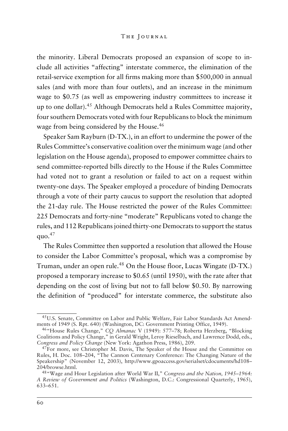the minority. Liberal Democrats proposed an expansion of scope to include all activities "affecting" interstate commerce, the elimination of the retail-service exemption for all firms making more than \$500,000 in annual sales (and with more than four outlets), and an increase in the minimum wage to \$0.75 (as well as empowering industry committees to increase it up to one dollar).<sup>45</sup> Although Democrats held a Rules Committee majority, four southern Democrats voted with four Republicans to block the minimum wage from being considered by the House.<sup>46</sup>

Speaker Sam Rayburn (D-TX.), in an effort to undermine the power of the Rules Committee's conservative coalition over the minimum wage (and other legislation on the House agenda), proposed to empower committee chairs to send committee-reported bills directly to the House if the Rules Committee had voted not to grant a resolution or failed to act on a request within twenty-one days. The Speaker employed a procedure of binding Democrats through a vote of their party caucus to support the resolution that adopted the 21-day rule. The House restricted the power of the Rules Committee: 225 Democrats and forty-nine "moderate" Republicans voted to change the rules, and 112 Republicans joined thirty-one Democrats to support the status quo.<sup>47</sup>

The Rules Committee then supported a resolution that allowed the House to consider the Labor Committee's proposal, which was a compromise by Truman, under an open rule.<sup>48</sup> On the House floor, Lucas Wingate (D-TX.) proposed a temporary increase to \$0.65 (until 1950), with the rate after that depending on the cost of living but not to fall below \$0.50. By narrowing the definition of "produced" for interstate commerce, the substitute also

<sup>45</sup>U.S. Senate, Committee on Labor and Public Welfare, Fair Labor Standards Act Amendments of 1949 (S. Rpt. 640) (Washington, DC: Government Printing Office, 1949).

<sup>46&</sup>quot;House Rules Change," *CQ Almanac* V (1949): 577–78; Roberta Herzberg, "Blocking Coalitions and Policy Change," in Gerald Wright, Leroy Rieselbach, and Lawrence Dodd, eds., *Congress and Policy Change* (New York: Agathon Press, 1986), 209.

<sup>&</sup>lt;sup>47</sup>For more, see Christopher M. Davis, The Speaker of the House and the Committee on Rules, H. Doc. 108–204, "The Cannon Centenary Conference: The Changing Nature of the Speakership" (November 12, 2003), http://www.gpoaccess.gov/serialset/cdocuments/hd108– 204/browse.html.

<sup>48&</sup>quot;Wage and Hour Legislation after World War II," *Congress and the Nation, 1945–1964: A Review of Government and Politics* (Washington, D.C.: Congressional Quarterly, 1965), 633–651.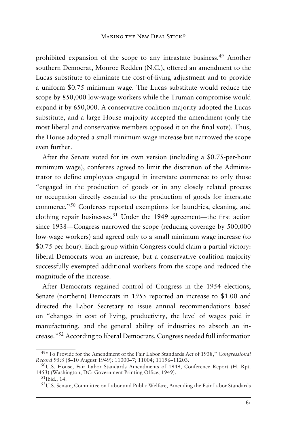prohibited expansion of the scope to any intrastate business.49 Another southern Democrat, Monroe Redden (N.C.), offered an amendment to the Lucas substitute to eliminate the cost-of-living adjustment and to provide a uniform \$0.75 minimum wage. The Lucas substitute would reduce the scope by 850,000 low-wage workers while the Truman compromise would expand it by 650,000. A conservative coalition majority adopted the Lucas substitute, and a large House majority accepted the amendment (only the most liberal and conservative members opposed it on the final vote). Thus, the House adopted a small minimum wage increase but narrowed the scope even further.

After the Senate voted for its own version (including a \$0.75-per-hour minimum wage), conferees agreed to limit the discretion of the Administrator to define employees engaged in interstate commerce to only those "engaged in the production of goods or in any closely related process or occupation directly essential to the production of goods for interstate commerce."50 Conferees reported exemptions for laundries, cleaning, and clothing repair businesses*.* <sup>51</sup> Under the 1949 agreement—the first action since 1938—Congress narrowed the scope (reducing coverage by 500,000 low-wage workers) and agreed only to a small minimum wage increase (to \$0.75 per hour). Each group within Congress could claim a partial victory: liberal Democrats won an increase, but a conservative coalition majority successfully exempted additional workers from the scope and reduced the magnitude of the increase.

After Democrats regained control of Congress in the 1954 elections, Senate (northern) Democrats in 1955 reported an increase to \$1.00 and directed the Labor Secretary to issue annual recommendations based on "changes in cost of living, productivity, the level of wages paid in manufacturing, and the general ability of industries to absorb an increase."52 According to liberal Democrats, Congress needed full information

<sup>49&</sup>quot;To Provide for the Amendment of the Fair Labor Standards Act of 1938," *Congressional Record* 95:8 (8–10 August 1949): 11000–7; 11004; 11196–11203.

 $50$ U.S. House, Fair Labor Standards Amendments of 1949, Conference Report (H. Rpt. 1453) (Washington, DC: Government Printing Office, 1949).

 $51$ Ibid., 14.

<sup>52</sup>U.S. Senate, Committee on Labor and Public Welfare, Amending the Fair Labor Standards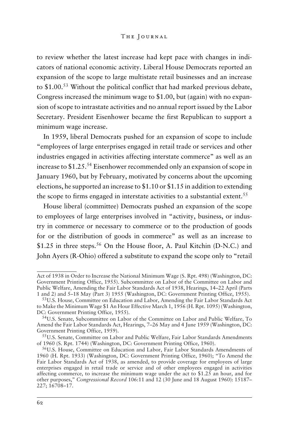to review whether the latest increase had kept pace with changes in indicators of national economic activity. Liberal House Democrats reported an expansion of the scope to large multistate retail businesses and an increase to \$1.00.<sup>53</sup> Without the political conflict that had marked previous debate, Congress increased the minimum wage to \$1.00, but (again) with no expansion of scope to intrastate activities and no annual report issued by the Labor Secretary. President Eisenhower became the first Republican to support a minimum wage increase.

In 1959, liberal Democrats pushed for an expansion of scope to include "employees of large enterprises engaged in retail trade or services and other industries engaged in activities affecting interstate commerce" as well as an increase to \$1.25.<sup>54</sup> Eisenhower recommended only an expansion of scope in January 1960, but by February, motivated by concerns about the upcoming elections, he supported an increase to \$1.10 or \$1.15 in addition to extending the scope to firms engaged in interstate activities to a substantial extent.<sup>55</sup>

House liberal (committee) Democrats pushed an expansion of the scope to employees of large enterprises involved in "activity, business, or industry in commerce or necessary to commerce or to the production of goods for or the distribution of goods in commerce" as well as an increase to \$1.25 in three steps.<sup>56</sup> On the House floor, A. Paul Kitchin (D-N.C.) and John Ayers (R-Ohio) offered a substitute to expand the scope only to "retail

Act of 1938 in Order to Increase the National Minimum Wage (S. Rpt. 498) (Washington, DC: Government Printing Office, 1955). Subcommittee on Labor of the Committee on Labor and Public Welfare, Amending the Fair Labor Standards Act of 1938, Hearings, 14–22 April (Parts 1 and 2) and 5–18 May (Part 3) 1955 (Washington, DC: Government Printing Office, 1955).

<sup>&</sup>lt;sup>53</sup>U.S. House, Committee on Education and Labor, Amending the Fair Labor Standards Act to Make the Minimum Wage \$1 An Hour Effective March 1, 1956 (H. Rpt. 1095) (Washington, DC: Government Printing Office, 1955).

<sup>54</sup>U.S. Senate, Subcommittee on Labor of the Committee on Labor and Public Welfare, To Amend the Fair Labor Standards Act, Hearings, 7–26 May and 4 June 1959 (Washington, DC: Government Printing Office, 1959).

<sup>55</sup>U.S. Senate, Committee on Labor and Public Welfare, Fair Labor Standards Amendments of 1960 (S. Rpt. 1744) (Washington, DC: Government Printing Office, 1960).

<sup>56</sup>U.S. House, Committee on Education and Labor, Fair Labor Standards Amendments of 1960 (H. Rpt. 1933) (Washington, DC: Government Printing Office, 1960); "To Amend the Fair Labor Standards Act of 1938, as amended, to provide coverage for employees of large enterprises engaged in retail trade or service and of other employees engaged in activities affecting commerce, to increase the minimum wage under the act to  $$1.25$  an hour, and for other purposes," *Congressional Record* 106:11 and 12 (30 June and 18 August 1960): 15187– 227; 16708–17.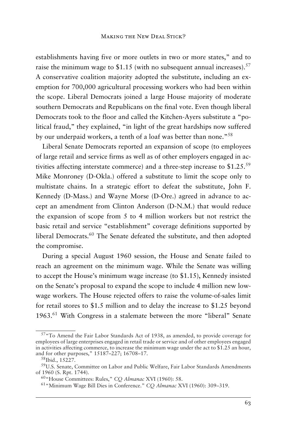establishments having five or more outlets in two or more states," and to raise the minimum wage to \$1.15 (with no subsequent annual increases).  $57$ A conservative coalition majority adopted the substitute, including an exemption for 700,000 agricultural processing workers who had been within the scope. Liberal Democrats joined a large House majority of moderate southern Democrats and Republicans on the final vote. Even though liberal Democrats took to the floor and called the Kitchen-Ayers substitute a "political fraud," they explained, "in light of the great hardships now suffered by our underpaid workers, a tenth of a loaf was better than none."<sup>58</sup>

Liberal Senate Democrats reported an expansion of scope (to employees of large retail and service firms as well as of other employers engaged in activities affecting interstate commerce) and a three-step increase to \$1.25.<sup>59</sup> Mike Monroney (D-Okla.) offered a substitute to limit the scope only to multistate chains. In a strategic effort to defeat the substitute, John F. Kennedy (D-Mass.) and Wayne Morse (D-Ore.) agreed in advance to accept an amendment from Clinton Anderson (D-N.M.) that would reduce the expansion of scope from 5 to 4 million workers but not restrict the basic retail and service "establishment" coverage definitions supported by liberal Democrats.<sup>60</sup> The Senate defeated the substitute, and then adopted the compromise.

During a special August 1960 session, the House and Senate failed to reach an agreement on the minimum wage. While the Senate was willing to accept the House's minimum wage increase (to \$1.15), Kennedy insisted on the Senate's proposal to expand the scope to include 4 million new lowwage workers. The House rejected offers to raise the volume-of-sales limit for retail stores to \$1.5 million and to delay the increase to \$1.25 beyond 1963.<sup>61</sup> With Congress in a stalemate between the more "liberal" Senate

<sup>57&</sup>quot;To Amend the Fair Labor Standards Act of 1938, as amended, to provide coverage for employees of large enterprises engaged in retail trade or service and of other employees engaged in activities affecting commerce, to increase the minimum wage under the act to \$1.25 an hour, and for other purposes," 15187–227; 16708–17.

<sup>58</sup>Ibid., 15227.

<sup>59</sup>U.S. Senate, Committee on Labor and Public Welfare, Fair Labor Standards Amendments of 1960 (S. Rpt. 1744).

<sup>60&</sup>quot;House Committees: Rules," *CQ Almanac* XVI (1960): 58.

<sup>61&</sup>quot;Minimum Wage Bill Dies in Conference." *CQ Almanac* XVI (1960): 309–319.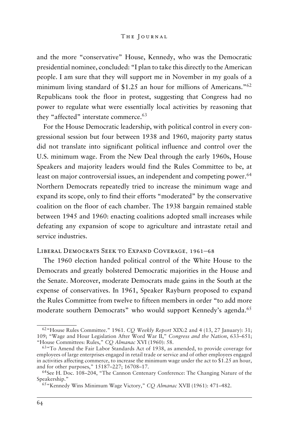and the more "conservative" House, Kennedy, who was the Democratic presidential nominee, concluded: "I plan to take this directly to the American people. I am sure that they will support me in November in my goals of a minimum living standard of \$1.25 an hour for millions of Americans."62 Republicans took the floor in protest, suggesting that Congress had no power to regulate what were essentially local activities by reasoning that they "affected" interstate commerce.<sup>63</sup>

For the House Democratic leadership, with political control in every congressional session but four between 1938 and 1960, majority party status did not translate into significant political influence and control over the U.S. minimum wage. From the New Deal through the early 1960s, House Speakers and majority leaders would find the Rules Committee to be, at least on major controversial issues, an independent and competing power.<sup>64</sup> Northern Democrats repeatedly tried to increase the minimum wage and expand its scope, only to find their efforts "moderated" by the conservative coalition on the floor of each chamber. The 1938 bargain remained stable between 1945 and 1960: enacting coalitions adopted small increases while defeating any expansion of scope to agriculture and intrastate retail and service industries.

### Liberal Democrats Seek to Expand Coverage, 1961–68

The 1960 election handed political control of the White House to the Democrats and greatly bolstered Democratic majorities in the House and the Senate. Moreover, moderate Democrats made gains in the South at the expense of conservatives. In 1961, Speaker Rayburn proposed to expand the Rules Committee from twelve to fifteen members in order "to add more moderate southern Democrats" who would support Kennedy's agenda.<sup>65</sup>

<sup>62&</sup>quot;House Rules Committee." 1961. *CQ Weekly Report* XIX:2 and 4 (13, 27 January): 31; 109; "Wage and Hour Legislation After Word War II," *Congress and the Nation*, 633–651; "House Committees: Rules," *CQ Almanac* XVI (1960): 58.

<sup>63&</sup>quot;To Amend the Fair Labor Standards Act of 1938, as amended, to provide coverage for employees of large enterprises engaged in retail trade or service and of other employees engaged in activities affecting commerce, to increase the minimum wage under the act to \$1.25 an hour, and for other purposes," 15187–227; 16708–17.

<sup>64</sup>See H. Doc. 108–204, "The Cannon Centenary Conference: The Changing Nature of the Speakership."

<sup>65&</sup>quot;Kennedy Wins Minimum Wage Victory," *CQ Almanac* XVII (1961): 471–482.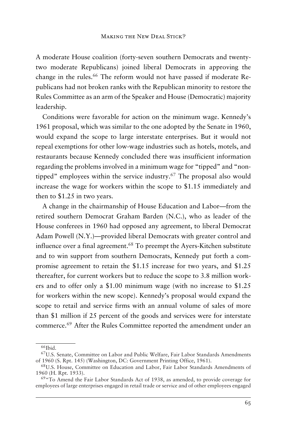A moderate House coalition (forty-seven southern Democrats and twentytwo moderate Republicans) joined liberal Democrats in approving the change in the rules.<sup>66</sup> The reform would not have passed if moderate Republicans had not broken ranks with the Republican minority to restore the Rules Committee as an arm of the Speaker and House (Democratic) majority leadership.

Conditions were favorable for action on the minimum wage. Kennedy's 1961 proposal, which was similar to the one adopted by the Senate in 1960, would expand the scope to large interstate enterprises. But it would not repeal exemptions for other low-wage industries such as hotels, motels, and restaurants because Kennedy concluded there was insufficient information regarding the problems involved in a minimum wage for "tipped" and "nontipped" employees within the service industry.67 The proposal also would increase the wage for workers within the scope to \$1.15 immediately and then to \$1.25 in two years.

A change in the chairmanship of House Education and Labor—from the retired southern Democrat Graham Barden (N.C.), who as leader of the House conferees in 1960 had opposed any agreement, to liberal Democrat Adam Powell (N.Y.)—provided liberal Democrats with greater control and influence over a final agreement.68 To preempt the Ayers-Kitchen substitute and to win support from southern Democrats, Kennedy put forth a compromise agreement to retain the \$1.15 increase for two years, and \$1.25 thereafter, for current workers but to reduce the scope to 3.8 million workers and to offer only a \$1.00 minimum wage (with no increase to \$1.25 for workers within the new scope). Kennedy's proposal would expand the scope to retail and service firms with an annual volume of sales of more than \$1 million if 25 percent of the goods and services were for interstate commerce.69 After the Rules Committee reported the amendment under an

 $66$ Ibid.

<sup>67</sup>U.S. Senate, Committee on Labor and Public Welfare, Fair Labor Standards Amendments of 1960 (S. Rpt. 145) (Washington, DC: Government Printing Office, 1961).

<sup>68</sup>U.S. House, Committee on Education and Labor, Fair Labor Standards Amendments of 1960 (H. Rpt. 1933).

 $69$  "To Amend the Fair Labor Standards Act of 1938, as amended, to provide coverage for employees of large enterprises engaged in retail trade or service and of other employees engaged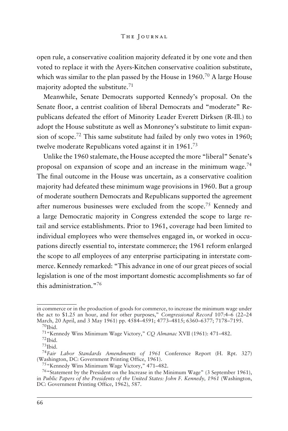open rule, a conservative coalition majority defeated it by one vote and then voted to replace it with the Ayers-Kitchen conservative coalition substitute, which was similar to the plan passed by the House in  $1960$ .<sup>70</sup> A large House majority adopted the substitute.<sup>71</sup>

Meanwhile, Senate Democrats supported Kennedy's proposal. On the Senate floor, a centrist coalition of liberal Democrats and "moderate" Republicans defeated the effort of Minority Leader Everett Dirksen (R-Ill.) to adopt the House substitute as well as Monroney's substitute to limit expansion of scope.<sup>72</sup> This same substitute had failed by only two votes in 1960; twelve moderate Republicans voted against it in 1961.<sup>73</sup>

Unlike the 1960 stalemate, the House accepted the more "liberal" Senate's proposal on expansion of scope and an increase in the minimum wage.74 The final outcome in the House was uncertain, as a conservative coalition majority had defeated these minimum wage provisions in 1960. But a group of moderate southern Democrats and Republicans supported the agreement after numerous businesses were excluded from the scope.<sup>75</sup> Kennedy and a large Democratic majority in Congress extended the scope to large retail and service establishments. Prior to 1961, coverage had been limited to individual employees who were themselves engaged in, or worked in occupations directly essential to, interstate commerce; the 1961 reform enlarged the scope to *all* employees of any enterprise participating in interstate commerce. Kennedy remarked: "This advance in one of our great pieces of social legislation is one of the most important domestic accomplishments so far of this administration."<sup>76</sup>

in commerce or in the production of goods for commerce, to increase the minimum wage under the act to \$1.25 an hour, and for other purposes," *Congressional Record* 107:4–6 (22–24 March, 20 April, and 3 May 1961) pp. 4584–4591; 4773–4815; 6360–6377; 7178–7195.

<sup>70</sup>Ibid.

<sup>71&</sup>quot;Kennedy Wins Minimum Wage Victory," *CQ Almanac* XVII (1961): 471–482.

<sup>72</sup>Ibid.

 $73$ Ibid.

<sup>74</sup>*Fair Labor Standards Amendments of 1961* Conference Report (H. Rpt. 327) (Washington, DC: Government Printing Office, 1961).

<sup>75&</sup>quot;Kennedy Wins Minimum Wage Victory," 471–482.

<sup>76&</sup>quot;Statement by the President on the Increase in the Minimum Wage" (3 September 1961), in *Public Papers of the Presidents of the United States: John F. Kennedy, 1961* (Washington, DC: Government Printing Office, 1962), 587.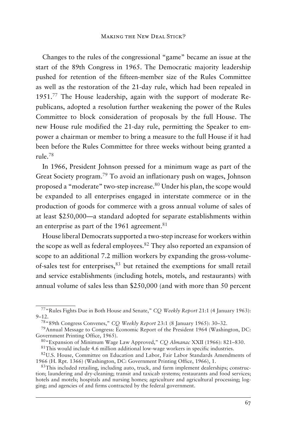Changes to the rules of the congressional "game" became an issue at the start of the 89th Congress in 1965. The Democratic majority leadership pushed for retention of the fifteen-member size of the Rules Committee as well as the restoration of the 21-day rule, which had been repealed in 1951.<sup>77</sup> The House leadership, again with the support of moderate Republicans, adopted a resolution further weakening the power of the Rules Committee to block consideration of proposals by the full House. The new House rule modified the 21-day rule, permitting the Speaker to empower a chairman or member to bring a measure to the full House if it had been before the Rules Committee for three weeks without being granted a rule. $78$ 

In 1966, President Johnson pressed for a minimum wage as part of the Great Society program.79 To avoid an inflationary push on wages, Johnson proposed a "moderate" two-step increase.<sup>80</sup> Under his plan, the scope would be expanded to all enterprises engaged in interstate commerce or in the production of goods for commerce with a gross annual volume of sales of at least \$250,000—a standard adopted for separate establishments within an enterprise as part of the 1961 agreement. $81$ 

House liberal Democrats supported a two-step increase for workers within the scope as well as federal employees.<sup>82</sup> They also reported an expansion of scope to an additional 7.2 million workers by expanding the gross-volumeof-sales test for enterprises, $83$  but retained the exemptions for small retail and service establishments (including hotels, motels, and restaurants) with annual volume of sales less than \$250,000 (and with more than 50 percent

<sup>77&</sup>quot;Rules Fights Due in Both House and Senate," *CQ Weekly Report* 21:1 (4 January 1963):  $9 - 12$ 

<sup>78&</sup>quot;89th Congress Convenes," *CQ Weekly Report* 23:1 (8 January 1965): 30–32.

<sup>79</sup>Annual Message to Congress: Economic Report of the President 1964 (Washington, DC: Government Printing Office, 1965).

<sup>80&</sup>quot;Expansion of Minimum Wage Law Approved," *CQ Almanac* XXII (1966): 821–830. 81This would include 4.6 million additional low-wage workers in specific industries.

<sup>&</sup>lt;sup>82</sup>U.S. House, Committee on Education and Labor, Fair Labor Standards Amendments of 1966 (H. Rpt. 1366) (Washington, DC: Government Printing Office, 1966), 1.

 $83$ This included retailing, including auto, truck, and farm implement dealerships; construction; laundering and dry-cleaning; transit and taxicab systems; restaurants and food services; hotels and motels; hospitals and nursing homes; agriculture and agricultural processing; logging; and agencies of and firms contracted by the federal government.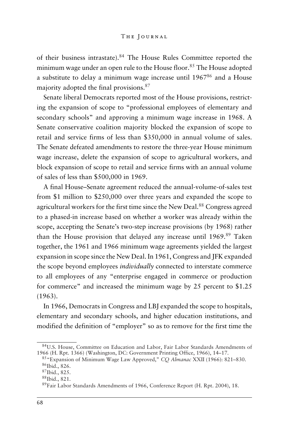of their business intrastate).<sup>84</sup> The House Rules Committee reported the minimum wage under an open rule to the House floor.<sup>85</sup> The House adopted a substitute to delay a minimum wage increase until  $1967<sup>86</sup>$  and a House majority adopted the final provisions.<sup>87</sup>

Senate liberal Democrats reported most of the House provisions, restricting the expansion of scope to "professional employees of elementary and secondary schools" and approving a minimum wage increase in 1968. A Senate conservative coalition majority blocked the expansion of scope to retail and service firms of less than \$350,000 in annual volume of sales. The Senate defeated amendments to restore the three-year House minimum wage increase, delete the expansion of scope to agricultural workers, and block expansion of scope to retail and service firms with an annual volume of sales of less than \$500,000 in 1969.

A final House–Senate agreement reduced the annual-volume-of-sales test from \$1 million to \$250,000 over three years and expanded the scope to agricultural workers for the first time since the New Deal.<sup>88</sup> Congress agreed to a phased-in increase based on whether a worker was already within the scope, accepting the Senate's two-step increase provisions (by 1968) rather than the House provision that delayed any increase until 1969.<sup>89</sup> Taken together, the 1961 and 1966 minimum wage agreements yielded the largest expansion in scope since the New Deal. In 1961, Congress and JFK expanded the scope beyond employees *individually* connected to interstate commerce to all employees of any "enterprise engaged in commerce or production for commerce" and increased the minimum wage by 25 percent to \$1.25 (1963).

In 1966, Democrats in Congress and LBJ expanded the scope to hospitals, elementary and secondary schools, and higher education institutions, and modified the definition of "employer" so as to remove for the first time the

<sup>84</sup>U.S. House, Committee on Education and Labor, Fair Labor Standards Amendments of 1966 (H. Rpt. 1366) (Washington, DC: Government Printing Office, 1966), 14–17.

<sup>85&</sup>quot;Expansion of Minimum Wage Law Approved," *CQ Almanac* XXII (1966): 821–830. 86Ibid., 826.

<sup>87</sup>Ibid., 825.

<sup>88</sup>Ibid., 821.

<sup>89</sup>Fair Labor Standards Amendments of 1966, Conference Report (H. Rpt. 2004), 18.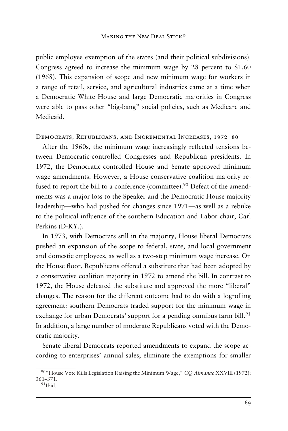public employee exemption of the states (and their political subdivisions). Congress agreed to increase the minimum wage by 28 percent to \$1.60 (1968). This expansion of scope and new minimum wage for workers in a range of retail, service, and agricultural industries came at a time when a Democratic White House and large Democratic majorities in Congress were able to pass other "big-bang" social policies, such as Medicare and Medicaid.

Democrats, Republicans, and Incremental Increases, 1972–80

After the 1960s, the minimum wage increasingly reflected tensions between Democratic-controlled Congresses and Republican presidents. In 1972, the Democratic-controlled House and Senate approved minimum wage amendments. However, a House conservative coalition majority refused to report the bill to a conference (committee).<sup>90</sup> Defeat of the amendments was a major loss to the Speaker and the Democratic House majority leadership—who had pushed for changes since 1971—as well as a rebuke to the political influence of the southern Education and Labor chair, Carl Perkins (D-KY.).

In 1973, with Democrats still in the majority, House liberal Democrats pushed an expansion of the scope to federal, state, and local government and domestic employees, as well as a two-step minimum wage increase. On the House floor, Republicans offered a substitute that had been adopted by a conservative coalition majority in 1972 to amend the bill. In contrast to 1972, the House defeated the substitute and approved the more "liberal" changes. The reason for the different outcome had to do with a logrolling agreement: southern Democrats traded support for the minimum wage in exchange for urban Democrats' support for a pending omnibus farm bill.<sup>91</sup> In addition, a large number of moderate Republicans voted with the Democratic majority.

Senate liberal Democrats reported amendments to expand the scope according to enterprises' annual sales; eliminate the exemptions for smaller

<sup>90&</sup>quot;House Vote Kills Legislation Raising the Minimum Wage," *CQ Almanac* XXVIII (1972): 361–371.

 $91$ Ibid.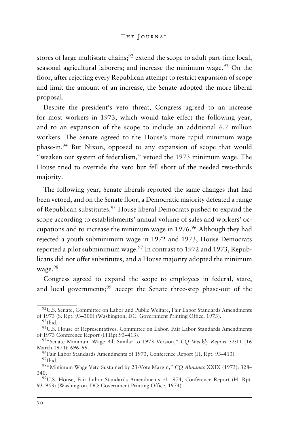stores of large multistate chains;<sup>92</sup> extend the scope to adult part-time local, seasonal agricultural laborers; and increase the minimum wage.<sup>93</sup> On the floor, after rejecting every Republican attempt to restrict expansion of scope and limit the amount of an increase, the Senate adopted the more liberal proposal.

Despite the president's veto threat, Congress agreed to an increase for most workers in 1973, which would take effect the following year, and to an expansion of the scope to include an additional 6.7 million workers. The Senate agreed to the House's more rapid minimum wage phase-in.94 But Nixon, opposed to any expansion of scope that would "weaken our system of federalism," vetoed the 1973 minimum wage. The House tried to override the veto but fell short of the needed two-thirds majority.

The following year, Senate liberals reported the same changes that had been vetoed, and on the Senate floor, a Democratic majority defeated a range of Republican substitutes.<sup>95</sup> House liberal Democrats pushed to expand the scope according to establishments' annual volume of sales and workers' occupations and to increase the minimum wage in 1976.<sup>96</sup> Although they had rejected a youth subminimum wage in 1972 and 1973, House Democrats reported a pilot subminimum wage.<sup>97</sup> In contrast to 1972 and 1973, Republicans did not offer substitutes, and a House majority adopted the minimum wage.<sup>98</sup>

Congress agreed to expand the scope to employees in federal, state, and local governments;<sup>99</sup> accept the Senate three-step phase-out of the

<sup>&</sup>lt;sup>92</sup>U.S. Senate, Committee on Labor and Public Welfare, Fair Labor Standards Amendments of 1973 (S. Rpt. 93–300) (Washington, DC: Government Printing Office, 1973).

 $93$ Ibid.

<sup>94</sup>U.S. House of Representatives. Committee on Labor. Fair Labor Standards Amendments of 1973 Conference Report (H.Rpt.93–413).

<sup>95&</sup>quot;Senate Minimum Wage Bill Similar to 1973 Version," *CQ Weekly Report* 32:11 (16 March 1974): 696–99.

<sup>&</sup>lt;sup>96</sup>Fair Labor Standards Amendments of 1973, Conference Report (H. Rpt. 93-413). 97Ibid.

<sup>98&</sup>quot;Minimum Wage Veto Sustained by 23-Vote Margin," *CQ Almanac* XXIX (1973): 328– 340.

<sup>99</sup>U.S. House, Fair Labor Standards Amendments of 1974, Conference Report (H. Rpt. 93–953) (Washington, DC: Government Printing Office, 1974).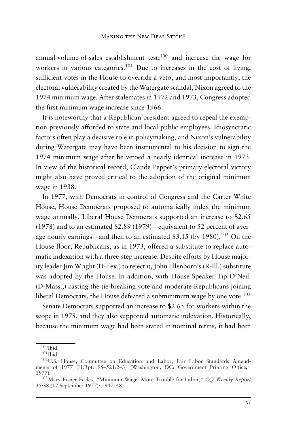annual-volume-of-sales establishment test; $100$  and increase the wage for workers in various categories.<sup>101</sup> Due to increases in the cost of living, sufficient votes in the House to override a veto, and most importantly, the electoral vulnerability created by the Watergate scandal, Nixon agreed to the 1974 minimum wage. After stalemates in 1972 and 1973, Congress adopted the first minimum wage increase since 1966.

It is noteworthy that a Republican president agreed to repeal the exemption previously afforded to state and local public employees. Idiosyncratic factors often play a decisive role in policymaking, and Nixon's vulnerability during Watergate may have been instrumental to his decision to sign the 1974 minimum wage after he vetoed a nearly identical increase in 1973. In view of the historical record, Claude Pepper's primary electoral victory might also have proved critical to the adoption of the original minimum wage in 1938.

In 1977, with Democrats in control of Congress and the Carter White House, House Democrats proposed to automatically index the minimum wage annually. Liberal House Democrats supported an increase to \$2.65 (1978) and to an estimated \$2.89 (1979)—equivalent to 52 percent of average hourly earnings—and then to an estimated  $$3.15$  (by 1980).<sup>102</sup> On the House floor, Republicans, as in 1973, offered a substitute to replace automatic indexation with a three-step increase. Despite efforts by House majority leader Jim Wright (D-Tex.) to reject it, John Ellenboro's (R-Ill.) substitute was adopted by the House. In addition, with House Speaker Tip O'Neill (D-Mass.,) casting the tie-breaking vote and moderate Republicans joining liberal Democrats, the House defeated a subminimum wage by one vote.<sup>103</sup>

Senate Democrats supported an increase to \$2.65 for workers within the scope in 1978, and they also supported automatic indexation. Historically, because the minimum wage had been stated in nominal terms, it had been

 $100$  Ibid.

 $101$ Ibid.

<sup>102</sup>U.S. House, Committee on Education and Labor, Fair Labor Standards Amendments of 1977 (H.Rpt. 95–521:2–3) (Washington, DC: Government Printing Office, 1977).

<sup>103</sup>Mary Eisner Eccles, "Minimum Wage: More Trouble for Labor," *CQ Weekly Report* 35:38 (17 September 1977): 1947–48.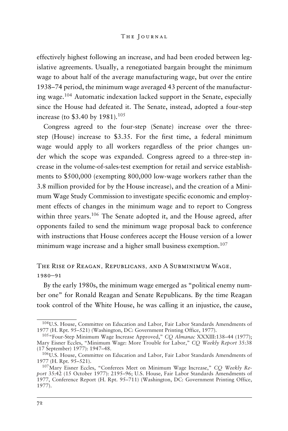effectively highest following an increase, and had been eroded between legislative agreements. Usually, a renegotiated bargain brought the minimum wage to about half of the average manufacturing wage, but over the entire 1938–74 period, the minimum wage averaged 43 percent of the manufacturing wage.<sup>104</sup> Automatic indexation lacked support in the Senate, especially since the House had defeated it. The Senate, instead, adopted a four-step increase (to \$3.40 by 1981)*.* 105

Congress agreed to the four-step (Senate) increase over the threestep (House) increase to \$3.35. For the first time, a federal minimum wage would apply to all workers regardless of the prior changes under which the scope was expanded. Congress agreed to a three-step increase in the volume-of-sales-test exemption for retail and service establishments to \$500,000 (exempting 800,000 low-wage workers rather than the 3.8 million provided for by the House increase), and the creation of a Minimum Wage Study Commission to investigate specific economic and employment effects of changes in the minimum wage and to report to Congress within three years.<sup>106</sup> The Senate adopted it, and the House agreed, after opponents failed to send the minimum wage proposal back to conference with instructions that House conferees accept the House version of a lower minimum wage increase and a higher small business exemption.<sup>107</sup>

## The Rise of Reagan, Republicans, and A Subminimum Wage, 1980–91

By the early 1980s, the minimum wage emerged as "political enemy number one" for Ronald Reagan and Senate Republicans. By the time Reagan took control of the White House, he was calling it an injustice, the cause,

<sup>104</sup>U.S. House, Committee on Education and Labor, Fair Labor Standards Amendments of 1977 (H. Rpt. 95–521) (Washington, DC: Government Printing Office, 1977).

<sup>105&</sup>quot;Four-Step Minimum Wage Increase Approved," *CQ Almanac* XXXIII:138–44 (1977); Mary Eisner Eccles, "Minimum Wage: More Trouble for Labor," *CQ Weekly Report* 35:38 (17 September) 1977): 1947–48.

<sup>106</sup>U.S. House, Committee on Education and Labor, Fair Labor Standards Amendments of 1977 (H. Rpt. 95–521).

<sup>107</sup>Mary Eisner Eccles, "Conferees Meet on Minimum Wage Increase," *CQ Weekly Report* 35:42 (15 October 1977): 2195–96; U.S. House, Fair Labor Standards Amendments of 1977, Conference Report (H. Rpt. 95–711) (Washington, DC: Government Printing Office, 1977).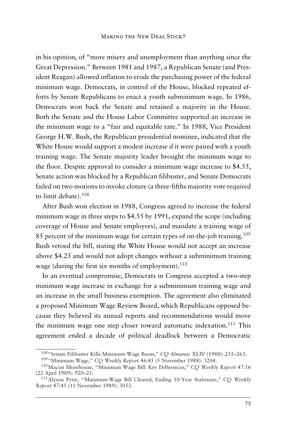in his opinion, of "more misery and unemployment than anything since the Great Depression." Between 1981 and 1987, a Republican Senate (and President Reagan) allowed inflation to erode the purchasing power of the federal minimum wage. Democrats, in control of the House, blocked repeated efforts by Senate Republicans to enact a youth subminimum wage. In 1986, Democrats won back the Senate and retained a majority in the House. Both the Senate and the House Labor Committee supported an increase in the minimum wage to a "fair and equitable rate." In 1988, Vice President George H.W. Bush, the Republican presidential nominee, indicated that the White House would support a modest increase if it were paired with a youth training wage. The Senate majority leader brought the minimum wage to the floor. Despite approval to consider a minimum wage increase to \$4.55, Senate action was blocked by a Republican filibuster, and Senate Democrats failed on two motions to invoke cloture (a three-fifths majority vote required to limit debate).<sup>108</sup>

After Bush won election in 1988, Congress agreed to increase the federal minimum wage in three steps to \$4.55 by 1991, expand the scope (including coverage of House and Senate employees), and mandate a training wage of 85 percent of the minimum wage for certain types of on-the-job training.<sup>109</sup> Bush vetoed the bill, stating the White House would not accept an increase above \$4.25 and would not adopt changes without a subminimum training wage (during the first six months of employment). $110$ 

In an eventual compromise, Democrats in Congress accepted a two-step minimum wage increase in exchange for a subminimum training wage and an increase in the small business exemption. The agreement also eliminated a proposed Minimum Wage Review Board, which Republicans opposed because they believed its annual reports and recommendations would move the minimum wage one step closer toward automatic indexation.<sup>111</sup> This agreement ended a decade of political deadlock between a Democratic

<sup>108&</sup>quot;Senate Filibuster Kills Minimum-Wage Boost," *CQ Almanac* XLIV (1988): 255–263.

<sup>109&</sup>quot;Minimum Wage," *CQ Weekly Report* 46:45 (5 November 1988): 3204.

<sup>110</sup>Macon Morehouse, "Minimum Wage Bill: Key Differences," *CQ Weekly Report* 47:16 (22 April 1989): 920–21.

<sup>111</sup>Alyson Pytte, "Minimum-Wage Bill Cleared, Ending 10-Year Stalemate," *CQ Weekly Report* 47:45 (11 November 1989): 3053.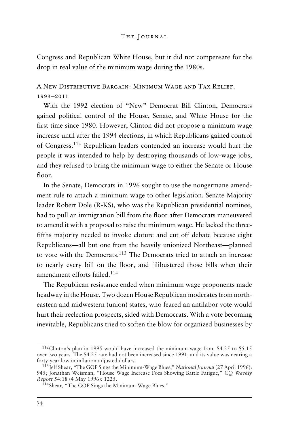Congress and Republican White House, but it did not compensate for the drop in real value of the minimum wage during the 1980s.

# A New Distributive Bargain: Minimum Wage and Tax Relief, 1993–2011

With the 1992 election of "New" Democrat Bill Clinton, Democrats gained political control of the House, Senate, and White House for the first time since 1980. However, Clinton did not propose a minimum wage increase until after the 1994 elections, in which Republicans gained control of Congress.112 Republican leaders contended an increase would hurt the people it was intended to help by destroying thousands of low-wage jobs, and they refused to bring the minimum wage to either the Senate or House floor.

In the Senate, Democrats in 1996 sought to use the nongermane amendment rule to attach a minimum wage to other legislation. Senate Majority leader Robert Dole (R-KS), who was the Republican presidential nominee, had to pull an immigration bill from the floor after Democrats maneuvered to amend it with a proposal to raise the minimum wage. He lacked the threefifths majority needed to invoke cloture and cut off debate because eight Republicans—all but one from the heavily unionized Northeast—planned to vote with the Democrats.<sup>113</sup> The Democrats tried to attach an increase to nearly every bill on the floor, and filibustered those bills when their amendment efforts failed.<sup>114</sup>

The Republican resistance ended when minimum wage proponents made headway in the House. Two dozen House Republican moderates from northeastern and midwestern (union) states, who feared an antilabor vote would hurt their reelection prospects, sided with Democrats. With a vote becoming inevitable, Republicans tried to soften the blow for organized businesses by

<sup>112</sup>Clinton's plan in 1995 would have increased the minimum wage from \$4.25 to \$5.15 over two years. The \$4.25 rate had not been increased since 1991, and its value was nearing a forty-year low in inflation-adjusted dollars.

<sup>113</sup>Jeff Shear, "The GOP Sings the Minimum-Wage Blues," *National Journal* (27 April 1996): 945; Jonathan Weisman, "House Wage Increase Foes Showing Battle Fatigue," *CQ Weekly Report* 54:18 (4 May 1996): 1225.

<sup>114</sup>Shear, "The GOP Sings the Minimum-Wage Blues."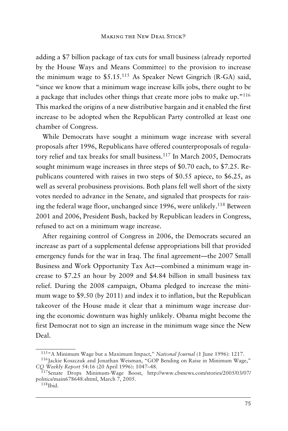adding a \$7 billion package of tax cuts for small business (already reported by the House Ways and Means Committee) to the provision to increase the minimum wage to  $$5.15$ .<sup>115</sup> As Speaker Newt Gingrich (R-GA) said, "since we know that a minimum wage increase kills jobs, there ought to be a package that includes other things that create more jobs to make up."<sup>116</sup> This marked the origins of a new distributive bargain and it enabled the first increase to be adopted when the Republican Party controlled at least one chamber of Congress.

While Democrats have sought a minimum wage increase with several proposals after 1996, Republicans have offered counterproposals of regulatory relief and tax breaks for small business.<sup>117</sup> In March 2005, Democrats sought minimum wage increases in three steps of \$0.70 each, to \$7.25. Republicans countered with raises in two steps of \$0.55 apiece, to \$6.25, as well as several probusiness provisions. Both plans fell well short of the sixty votes needed to advance in the Senate, and signaled that prospects for raising the federal wage floor, unchanged since 1996, were unlikely.<sup>118</sup> Between 2001 and 2006, President Bush, backed by Republican leaders in Congress, refused to act on a minimum wage increase.

After regaining control of Congress in 2006, the Democrats secured an increase as part of a supplemental defense appropriations bill that provided emergency funds for the war in Iraq. The final agreement—the 2007 Small Business and Work Opportunity Tax Act—combined a minimum wage increase to \$7.25 an hour by 2009 and \$4.84 billion in small business tax relief. During the 2008 campaign, Obama pledged to increase the minimum wage to \$9.50 (by 2011) and index it to inflation, but the Republican takeover of the House made it clear that a minimum wage increase during the economic downturn was highly unlikely. Obama might become the first Democrat not to sign an increase in the minimum wage since the New Deal.

<sup>115&</sup>quot;A Minimum Wage but a Maximum Impact," *National Journal* (1 June 1996): 1217.

<sup>&</sup>lt;sup>116</sup>Jackie Koszczuk and Jonathan Weisman, "GOP Bending on Raise in Minimum Wage," *CQ Weekly Report* 54:16 (20 April 1996): 1047–48.

<sup>117</sup>Senate Drops Minimum-Wage Boost, http://www.cbsnews.com/stories/2005/03/07/ politics/main678648.shtml, March 7, 2005.

 $118$  Ibid.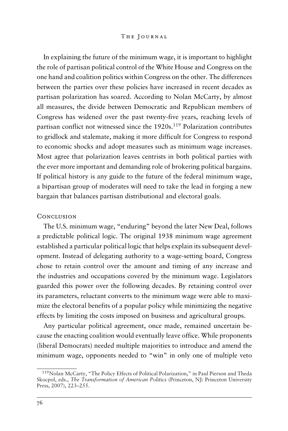In explaining the future of the minimum wage, it is important to highlight the role of partisan political control of the White House and Congress on the one hand and coalition politics within Congress on the other. The differences between the parties over these policies have increased in recent decades as partisan polarization has soared. According to Nolan McCarty, by almost all measures, the divide between Democratic and Republican members of Congress has widened over the past twenty-five years, reaching levels of partisan conflict not witnessed since the  $1920s$ .<sup>119</sup> Polarization contributes to gridlock and stalemate, making it more difficult for Congress to respond to economic shocks and adopt measures such as minimum wage increases. Most agree that polarization leaves centrists in both political parties with the ever more important and demanding role of brokering political bargains. If political history is any guide to the future of the federal minimum wage, a bipartisan group of moderates will need to take the lead in forging a new bargain that balances partisan distributional and electoral goals.

#### **CONCLUSION**

The U.S. minimum wage, "enduring" beyond the later New Deal, follows a predictable political logic. The original 1938 minimum wage agreement established a particular political logic that helps explain its subsequent development. Instead of delegating authority to a wage-setting board, Congress chose to retain control over the amount and timing of any increase and the industries and occupations covered by the minimum wage. Legislators guarded this power over the following decades. By retaining control over its parameters, reluctant converts to the minimum wage were able to maximize the electoral benefits of a popular policy while minimizing the negative effects by limiting the costs imposed on business and agricultural groups.

Any particular political agreement, once made, remained uncertain because the enacting coalition would eventually leave office. While proponents (liberal Democrats) needed multiple majorities to introduce and amend the minimum wage, opponents needed to "win" in only one of multiple veto

<sup>119</sup>Nolan McCarty, "The Policy Effects of Political Polarization," in Paul Pierson and Theda Skocpol, eds., *The Transformation of American Politics* (Princeton, NJ: Princeton University Press, 2007), 223–255.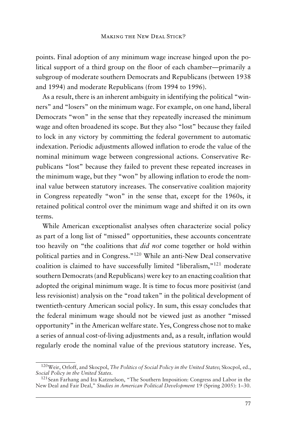points. Final adoption of any minimum wage increase hinged upon the political support of a third group on the floor of each chamber—primarily a subgroup of moderate southern Democrats and Republicans (between 1938 and 1994) and moderate Republicans (from 1994 to 1996).

As a result, there is an inherent ambiguity in identifying the political "winners" and "losers" on the minimum wage. For example, on one hand, liberal Democrats "won" in the sense that they repeatedly increased the minimum wage and often broadened its scope. But they also "lost" because they failed to lock in any victory by committing the federal government to automatic indexation. Periodic adjustments allowed inflation to erode the value of the nominal minimum wage between congressional actions. Conservative Republicans "lost" because they failed to prevent these repeated increases in the minimum wage, but they "won" by allowing inflation to erode the nominal value between statutory increases. The conservative coalition majority in Congress repeatedly "won" in the sense that, except for the 1960s, it retained political control over the minimum wage and shifted it on its own terms.

While American exceptionalist analyses often characterize social policy as part of a long list of "missed" opportunities, these accounts concentrate too heavily on "the coalitions that *did not* come together or hold within political parties and in Congress."120 While an anti-New Deal conservative coalition is claimed to have successfully limited "liberalism,"121 moderate southern Democrats (and Republicans) were key to an enacting coalition that adopted the original minimum wage. It is time to focus more positivist (and less revisionist) analysis on the "road taken" in the political development of twentieth-century American social policy. In sum, this essay concludes that the federal minimum wage should not be viewed just as another "missed opportunity" in the American welfare state. Yes, Congress chose not to make a series of annual cost-of-living adjustments and, as a result, inflation would regularly erode the nominal value of the previous statutory increase. Yes,

<sup>120</sup>Weir, Orloff, and Skocpol, *The Politics of Social Policy in the United States*; Skocpol, ed., *Social Policy in the United States.*

<sup>121</sup>Sean Farhang and Ira Katznelson, "The Southern Imposition: Congress and Labor in the New Deal and Fair Deal," *Studies in American Political Development* 19 (Spring 2005): 1–30.